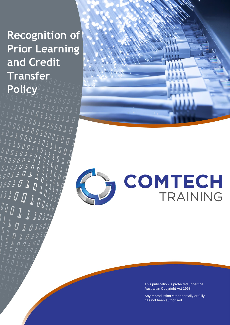# **Recognition of Prior Learning and Credit Transfer Policy**

 $\begin{array}{ccc} \mathbf{0} & \mathbf{0} & \mathbf{1} & \mathbf{1} \end{array}$ 

J

 $\begin{array}{c} \mathcal{L} \\ \mathcal{L} \end{array}$ 

 $\begin{smallmatrix} \varcap & \varcap & \varcap & \varcap & \varcap & \varperp & \varperp \\ \varcap & \varcap & \varcap & \varcap & \vartriangle & \varperp & \vartriangle & \vartriangle \\ \varcap & \varcap & \vartriangle & \vartriangle & \vartriangle & \vartriangle & \vartriangle & \vartriangle \\ \varcap & \varcap & \vartriangle & \vartriangle & \vartriangle & \vartriangle & \vartriangle & \vartriangle \end{smallmatrix}$ 

 $111$ 

 $\sqrt{a}$ 

Ò

 $\overline{D}$ 

 $\overline{D}$ 

 $\begin{array}{cccc}\n\overline{Q} & \stackrel{\text{d}}{\mathcal{Q}} & \stackrel{\text{d}}{\mathcal{Q}} \\
\overline{Q} & \stackrel{\text{d}}{\mathcal{Q}} & \stackrel{\text{d}}{\mathcal{Q}}\n\end{array}$  $\begin{array}{c} \downarrow \bar{\cup} \bar{\cup} \end{array}$ 

 $\overline{L}$ 

 $\Box$ 

Recognition of Prior Learning &

Credit Transfer Policy



# COMTECH TRAINING

This publication is protected under the Australian Copyright Act 1968.

Any reproduction either partially or fully has not been authorised.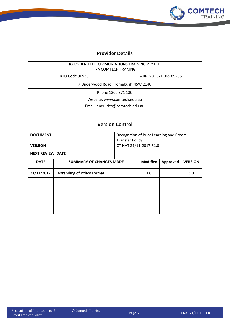

| <b>Provider Details</b>                                           |                       |  |  |  |  |  |  |  |
|-------------------------------------------------------------------|-----------------------|--|--|--|--|--|--|--|
| RAMSDEN TELECOMMUNIATIONS TRAINING PTY LTD<br>T/A COMTECH TRANING |                       |  |  |  |  |  |  |  |
| RTO Code 90933                                                    | ABN NO. 371 069 89235 |  |  |  |  |  |  |  |
| 7 Underwood Road, Homebush NSW 2140                               |                       |  |  |  |  |  |  |  |
| Phone 1300 371 130                                                |                       |  |  |  |  |  |  |  |
| Website: www.comtech.edu.au                                       |                       |  |  |  |  |  |  |  |
| Email: enquiries@comtech.edu.au                                   |                       |  |  |  |  |  |  |  |

| <b>Version Control</b>                                                                |                                    |                        |                 |                  |                |  |  |  |  |
|---------------------------------------------------------------------------------------|------------------------------------|------------------------|-----------------|------------------|----------------|--|--|--|--|
| Recognition of Prior Learning and Credit<br><b>DOCUMENT</b><br><b>Transfer Policy</b> |                                    |                        |                 |                  |                |  |  |  |  |
| <b>VERSION</b>                                                                        |                                    | CT NAT 21/11-2017 R1.0 |                 |                  |                |  |  |  |  |
| <b>NEXT REVIEW DATE</b>                                                               |                                    |                        |                 |                  |                |  |  |  |  |
| <b>DATE</b>                                                                           | <b>SUMMARY OF CHANGES MADE</b>     |                        | <b>Modified</b> | Approved         | <b>VERSION</b> |  |  |  |  |
| 21/11/2017                                                                            | <b>Rebranding of Policy Format</b> | EC                     |                 | R <sub>1.0</sub> |                |  |  |  |  |
|                                                                                       |                                    |                        |                 |                  |                |  |  |  |  |
|                                                                                       |                                    |                        |                 |                  |                |  |  |  |  |
|                                                                                       |                                    |                        |                 |                  |                |  |  |  |  |
|                                                                                       |                                    |                        |                 |                  |                |  |  |  |  |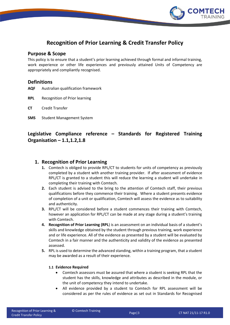

# **Recognition of Prior Learning & Credit Transfer Policy**

## **Purpose & Scope**

This policy is to ensure that a student's prior learning achieved through formal and informal training, work experience or other life experiences and previously attained Units of Competency are appropriately and compliantly recognised.

### **Definitions**

**AQF** Australian qualification framework

**RPL** Recognition of Prior learning

**CT** Credit Transfer

**SMS** Student Management System

## **Legislative Compliance reference – Standards for Registered Training Organisation – 1.1,1.2,1.8**

## **1. Recognition of Prior Learning**

- **1.** Comtech is obliged to provide RPL/CT to students for units of competency as previously completed by a student with another training provider. If after assessment of evidence RPL/CT is granted to a student this will reduce the learning a student will undertake in completing their training with Comtech.
- **2.** Each student is advised to the bring to the attention of Comtech staff, their previous qualifications before they commence their training. Where a student presents evidence of completion of a unit or qualification, Comtech will assess the evidence as to suitability and authenticity.
- **3.** RPL/CT will be considered before a student commences their training with Comtech, however an application for RPL/CT can be made at any stage during a student's training with Comtech.
- **4. Recognition of Prior Learning (RPL**) is an assessment on an individual basis of a student's skills and knowledge obtained by the student through previous training, work experience and or life experience. All of the evidence as presented by a student will be evaluated by Comtech in a fair manner and the authenticity and validity of the evidence as presented assessed.
- **5.** RPL is used to determine the advanced standing, within a training program, that a student may be awarded as a result of their experience.

#### **1.1 Evidence Required**

- Comtech assessors must be assured that where a student is seeking RPL that the student has the skills, knowledge and attributes as described in the module, or the unit of competency they intend to undertake.
- All evidence provided by a student to Comtech for RPL assessment will be considered as per the rules of evidence as set out in Standards for Recognised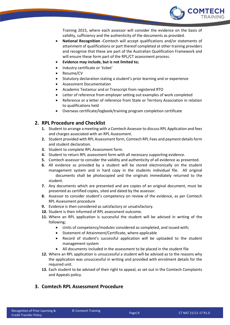

Training 2015, where each assessor will consider the evidence on the basis of validity, sufficiency and the authenticity of the documents as provided.

- **National Recognition -**Comtech will accept qualifications and/or statements of attainment of qualifications or part thereof completed at other training providers and recognise that these are part of the Australian Qualification Framework and will ensure these form part of the RPL/CT assessment process.
- **Evidence may include, but is not limited to;**
- Industry certificate or 'ticket'
- Resume/CV
- Statutory declaration stating a student's prior learning and or experience
- Assessment Documentation
- Academic Testamur and or Transcript from registered RTO
- Letter of reference from employer setting out examples of work completed
- Reference or a letter of reference from State or Territory Association in relation to qualifications held
- Overseas certificate/logbook/training program completion certificate

## **2. RPL Procedure and Checklist**

- **1.** Student to arrange a meeting with a Comtech Assessor to discuss RPL Application and fees and charges associated with an RPL Assessment.
- **2.** Student provided with RPL Assessment form, Comtech RPL Fees and payment details form and student declaration.
- **3.** Student to complete RPL Assessment form.
- **4.** Student to return RPL assessment form with all necessary supporting evidence.
- **5.** Comtech assessor to consider the validity and authenticity of all evidence as presented.
- **6.** All evidence as provided by a student will be stored electronically on the student management system and in hard copy in the students individual file. All original documents shall be photocopied and the originals immediately returned to the student.
- **7.** Any documents which are presented and are copies of an original document, must be presented as certified copies, sited and dated by the assessor.
- **8.** Assessor to consider student's competency on review of the evidence, as per Comtech RPL Assessment procedure
- **9.** Evidence is then considered as satisfactory or unsatisfactory.
- **10.** Student is then informed of RPL assessment outcome.
- **11.** Where an RPL application is successful the student will be advised in writing of the following;
	- Units of competency/modules considered as completed, and issued with;
	- Statement of Attainment/Certificate, where applicable
	- Record of student's successful application will be uploaded to the student management system
	- All documents included in the assessment to be placed in the student file
- **12.** Where an RPL application is unsuccessful a student will be advised as to the reasons why the application was unsuccessful in writing and provided with enrolment details for the required unit.
- **13.** Each student to be advised of their right to appeal, as set out in the Comtech Complaints and Appeals policy.

## **3. Comtech RPL Assessment Procedure**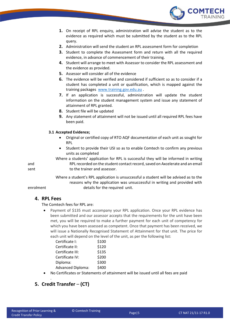

- **1.** On receipt of RPL enquiry, administration will advise the student as to the evidence as required which must be submitted by the student as to the RPL query.
- **2.** Administration will send the student an RPL assessment form for completion
- **3.** Student to complete the Assessment form and return with all the required evidence, in advance of commencement of their training.
- **4.** Student will arrange to meet with Assessor to consider the RPL assessment and the evidence as provided.
- **5.** Assessor will consider all of the evidence
- **6.** The evidence will be verified and considered if sufficient so as to consider if a student has completed a unit or qualification, which is mapped against the training packages [www.training.gov.edu.au](http://www.training.gov.edu.au/) .
- **7.** If an application is successful, administration will update the student information on the student management system and issue any statement of attainment of RPL granted.
- **8.** Student file will be updated
- **9.** Any statement of attainment will not be issued until all required RPL fees have been paid.

#### **3.1 Accepted Evidence;**

- Original or certified copy of RTO AQF documentation of each unit as sought for RPL
- Student to provide their USI so as to enable Comtech to confirm any previous units as completed

Where a students' application for RPL is successful they will be informed in writing and RPL recorded on the student contact record, saved on Axcelerate and an email sent to the trainer and assessor.

Where a student's RPL application is unsuccessful a student will be advised as to the reasons why the application was unsuccessful in writing and provided with enrolment details for the required unit.

### **4. RPL Fees**

The Comtech fees for RPL are:

• Payment of \$135 must accompany your RPL application. Once your RPL evidence has been submitted and our assessor accepts that the requirements for the unit have been met, you will be required to make a further payment for each unit of competency for which you have been assessed as competent. Once that payment has been received, we will issue a Nationally Recognised Statement of Attainment for that unit. The price for each unit will depend on the level of the unit, as per the following list:

| Certificate I:           | \$100 |
|--------------------------|-------|
| Certificate II:          | \$120 |
| Certificate III:         | \$135 |
| Certificate IV:          | \$200 |
| Diploma:                 | \$300 |
| <b>Advanced Diploma:</b> | \$400 |

No Certificates or Statements of attainment will be issued until all fees are paid

## **5. Credit Transfer** – **(CT)**

.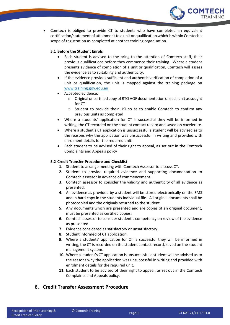

 Comtech is obliged to provide CT to students who have completed an equivalent certification/statement of attainment to a unit or qualification which is within Comtech's scope of registration as completed at another training organisation.

#### **5.1 Before the Student Enrols**

- Each student is advised to the bring to the attention of Comtech staff, their previous qualifications before they commence their training. Where a student presents evidence of completion of a unit or qualification, Comtech will assess the evidence as to suitability and authenticity.
- If the evidence provides sufficient and authentic verification of completion of a unit or qualification, the unit is mapped against the training package on [www.training.gov.edu.au](http://www.training.gov.edu.au/)
- Accepted evidence;
	- o Original or certified copy of RTO AQF documentation of each unit as sought for CT
	- o Student to provide their USI so as to enable Comtech to confirm any previous units as completed
- Where a students' application for CT is successful they will be informed in writing, the CT recorded on the student contact record and saved on Axcelerate.
- Where a student's CT application is unsuccessful a student will be advised as to the reasons why the application was unsuccessful in writing and provided with enrolment details for the required unit.
- Each student to be advised of their right to appeal, as set out in the Comtech Complaints and Appeals policy

#### **5.2 Credit Transfer Procedure and Checklist**

- **1.** Student to arrange meeting with Comtech Assessor to discuss CT.
- **2.** Student to provide required evidence and supporting documentation to Comtech assessor in advance of commencement.
- **3.** Comtech assessor to consider the validity and authenticity of all evidence as presented.
- **4.** All evidence as provided by a student will be stored electronically on the SMS and in hard copy in the students individual file. All original documents shall be photocopied and the originals returned to the student.
- **5.** Any documents which are presented and are copies of an original document, must be presented as certified copies.
- **6.** Comtech assessor to consider student's competency on review of the evidence as presented.
- **7.** Evidence considered as satisfactory or unsatisfactory.
- **8.** Student informed of CT application.
- **9.** Where a students' application for CT is successful they will be informed in writing, the CT is recorded on the student contact record, saved on the student management system.
- **10.** Where a student's CT application is unsuccessful a student will be advised as to the reasons why the application was unsuccessful in writing and provided with enrolment details for the required unit.
- **11.** Each student to be advised of their right to appeal, as set out in the Comtech Complaints and Appeals policy.

## **6. Credit Transfer Assessment Procedure**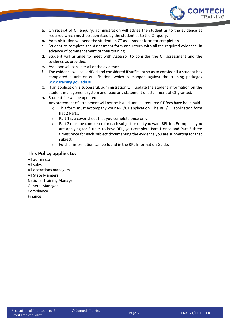

- **a.** On receipt of CT enquiry, administration will advise the student as to the evidence as required which must be submitted by the student as to the CT query.
- **b.** Administration will send the student an CT assessment form for completion
- **c.** Student to complete the Assessment form and return with all the required evidence, in advance of commencement of their training.
- **d.** Student will arrange to meet with Assessor to consider the CT assessment and the evidence as provided.
- **e.** Assessor will consider all of the evidence
- **f.** The evidence will be verified and considered if sufficient so as to consider if a student has completed a unit or qualification, which is mapped against the training packages [www.training.gov.edu.au](http://www.training.gov.edu.au/) .
- **g.** If an application is successful, administration will update the student information on the student management system and issue any statement of attainment of CT granted.
- **h.** Student file will be updated
- **i.** Any statement of attainment will not be issued until all required CT fees have been paid
	- $\circ$  This form must accompany your RPL/CT application. The RPL/CT application form has 2 Parts.
	- o Part 1 is a cover sheet that you complete once only.
	- $\circ$  Part 2 must be completed for each subject or unit you want RPL for. Example: If you are applying for 3 units to have RPL, you complete Part 1 once and Part 2 three times; once for each subject documenting the evidence you are submitting for that subject.
	- o Further information can be found in the RPL Information Guide.

## **This Policy applies to:**

All admin staff All sales All operations managers All State Mangers National Training Manager General Manager Compliance Finance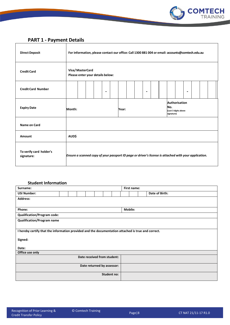

# **PART 1 - Payment Details**

 $\mathbf{r}$ 

| <b>Direct Deposit</b>                 | For information, please contact our office: Call 1300 881 004 or email: accounts@comtech.edu.au       |                                                     |  |  |                |  |       |  |  |                |  |                                                                   |  |  |                |  |  |
|---------------------------------------|-------------------------------------------------------------------------------------------------------|-----------------------------------------------------|--|--|----------------|--|-------|--|--|----------------|--|-------------------------------------------------------------------|--|--|----------------|--|--|
| <b>Credit Card</b>                    |                                                                                                       | Visa/MasterCard<br>Please enter your details below: |  |  |                |  |       |  |  |                |  |                                                                   |  |  |                |  |  |
| <b>Credit Card Number</b>             |                                                                                                       |                                                     |  |  | $\blacksquare$ |  |       |  |  | $\blacksquare$ |  |                                                                   |  |  | $\blacksquare$ |  |  |
| <b>Expiry Date</b>                    | Month:                                                                                                |                                                     |  |  |                |  | Year: |  |  |                |  | <b>Authorisation</b><br>No.<br>(Last 3 digits above<br>signature) |  |  |                |  |  |
| Name on Card                          |                                                                                                       |                                                     |  |  |                |  |       |  |  |                |  |                                                                   |  |  |                |  |  |
| Amount                                | <b>AUD\$</b>                                                                                          |                                                     |  |  |                |  |       |  |  |                |  |                                                                   |  |  |                |  |  |
| To verify card holder's<br>signature: | Ensure a scanned copy of your passport ID page or driver's license is attached with your application. |                                                     |  |  |                |  |       |  |  |                |  |                                                                   |  |  |                |  |  |

## **Student Information**

| Surname:                                                                                           |                            |  |  |  |  |                             | First name: |                |  |  |                |
|----------------------------------------------------------------------------------------------------|----------------------------|--|--|--|--|-----------------------------|-------------|----------------|--|--|----------------|
| <b>USI Number:</b>                                                                                 |                            |  |  |  |  |                             |             |                |  |  | Date of Birth: |
| <b>Address:</b>                                                                                    |                            |  |  |  |  |                             |             |                |  |  |                |
|                                                                                                    |                            |  |  |  |  |                             |             |                |  |  |                |
| Phone:                                                                                             |                            |  |  |  |  |                             |             | <b>Mobile:</b> |  |  |                |
| <b>Qualification/Program code:</b>                                                                 |                            |  |  |  |  |                             |             |                |  |  |                |
| <b>Qualification/Program name</b>                                                                  |                            |  |  |  |  |                             |             |                |  |  |                |
|                                                                                                    |                            |  |  |  |  |                             |             |                |  |  |                |
| I hereby certify that the information provided and the documentation attached is true and correct. |                            |  |  |  |  |                             |             |                |  |  |                |
| Signed:                                                                                            |                            |  |  |  |  |                             |             |                |  |  |                |
|                                                                                                    |                            |  |  |  |  |                             |             |                |  |  |                |
| Date:                                                                                              |                            |  |  |  |  |                             |             |                |  |  |                |
| Office use only                                                                                    |                            |  |  |  |  |                             |             |                |  |  |                |
|                                                                                                    |                            |  |  |  |  | Date received from student: |             |                |  |  |                |
|                                                                                                    |                            |  |  |  |  |                             |             |                |  |  |                |
|                                                                                                    | Date returned by assessor: |  |  |  |  |                             |             |                |  |  |                |
|                                                                                                    |                            |  |  |  |  | Student no:                 |             |                |  |  |                |
|                                                                                                    |                            |  |  |  |  |                             |             |                |  |  |                |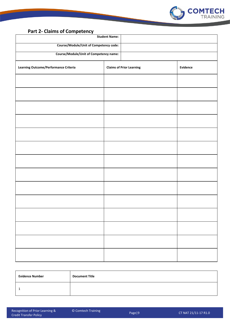

## **Part 2- Claims of Competency**

| ,<br><b>Student Name:</b>                     |                                 |          |  |  |  |  |  |  |  |  |
|-----------------------------------------------|---------------------------------|----------|--|--|--|--|--|--|--|--|
| Course/Module/Unit of Competency code:        |                                 |          |  |  |  |  |  |  |  |  |
| <b>Course/Module/Unit of Competency name:</b> |                                 |          |  |  |  |  |  |  |  |  |
| <b>Learning Outcome/Performance Criteria</b>  | <b>Claims of Prior Learning</b> | Evidence |  |  |  |  |  |  |  |  |
|                                               |                                 |          |  |  |  |  |  |  |  |  |
|                                               |                                 |          |  |  |  |  |  |  |  |  |
|                                               |                                 |          |  |  |  |  |  |  |  |  |
|                                               |                                 |          |  |  |  |  |  |  |  |  |
|                                               |                                 |          |  |  |  |  |  |  |  |  |
|                                               |                                 |          |  |  |  |  |  |  |  |  |
|                                               |                                 |          |  |  |  |  |  |  |  |  |
|                                               |                                 |          |  |  |  |  |  |  |  |  |
|                                               |                                 |          |  |  |  |  |  |  |  |  |
|                                               |                                 |          |  |  |  |  |  |  |  |  |
|                                               |                                 |          |  |  |  |  |  |  |  |  |
|                                               |                                 |          |  |  |  |  |  |  |  |  |
|                                               |                                 |          |  |  |  |  |  |  |  |  |
|                                               |                                 |          |  |  |  |  |  |  |  |  |

| <b>Evidence Number</b> | <b>Document Title</b> |
|------------------------|-----------------------|
|                        |                       |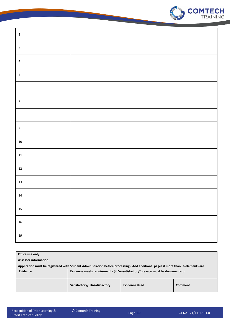

| $\mathbf 2$      |  |
|------------------|--|
| $\mathbf{3}$     |  |
| $\overline{4}$   |  |
| $\mathsf S$      |  |
| $\boldsymbol{6}$ |  |
| $\overline{7}$   |  |
| $\bf 8$          |  |
| $\boldsymbol{9}$ |  |
| $10\,$           |  |
| $11\,$           |  |
| $12\,$           |  |
| $13\,$           |  |
| $14\,$           |  |
| $15\,$           |  |
| ${\bf 16}$       |  |
| $19\,$           |  |

| Office use only                                                                                                                 |                                                                               |                      |         |  |  |  |  |  |  |
|---------------------------------------------------------------------------------------------------------------------------------|-------------------------------------------------------------------------------|----------------------|---------|--|--|--|--|--|--|
| <b>Assessor information</b>                                                                                                     |                                                                               |                      |         |  |  |  |  |  |  |
| Application must be registered with Student Administration before processing - Add additional pages if more than 6 elements are |                                                                               |                      |         |  |  |  |  |  |  |
| Evidence                                                                                                                        | Evidence meets requirements (if "unsatisfactory", reason must be documented). |                      |         |  |  |  |  |  |  |
|                                                                                                                                 | Satisfactory/ Unsatisfactory                                                  | <b>Evidence Used</b> | Comment |  |  |  |  |  |  |